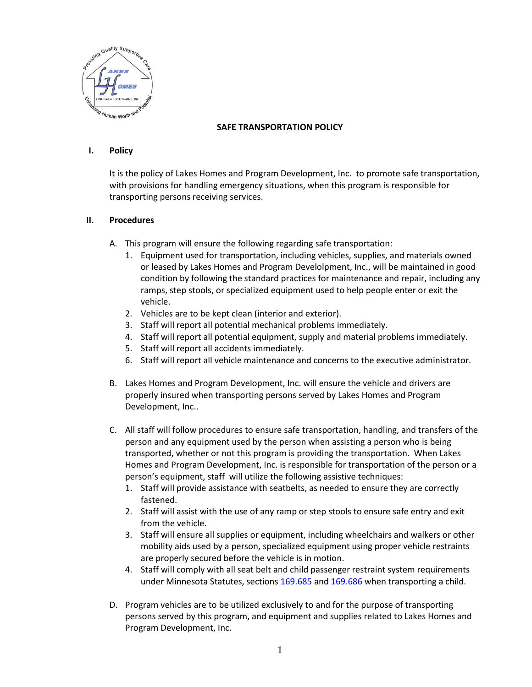

## **SAFE TRANSPORTATION POLICY**

## **I. Policy**

It is the policy of Lakes Homes and Program Development, Inc. to promote safe transportation, with provisions for handling emergency situations, when this program is responsible for transporting persons receiving services.

## **II. Procedures**

- A. This program will ensure the following regarding safe transportation:
	- 1. Equipment used for transportation, including vehicles, supplies, and materials owned or leased by Lakes Homes and Program Develolpment, Inc., will be maintained in good condition by following the standard practices for maintenance and repair, including any ramps, step stools, or specialized equipment used to help people enter or exit the vehicle.
	- 2. Vehicles are to be kept clean (interior and exterior).
	- 3. Staff will report all potential mechanical problems immediately.
	- 4. Staff will report all potential equipment, supply and material problems immediately.
	- 5. Staff will report all accidents immediately.
	- 6. Staff will report all vehicle maintenance and concerns to the executive administrator.
- B. Lakes Homes and Program Development, Inc. will ensure the vehicle and drivers are properly insured when transporting persons served by Lakes Homes and Program Development, Inc..
- C. All staff will follow procedures to ensure safe transportation, handling, and transfers of the person and any equipment used by the person when assisting a person who is being transported, whether or not this program is providing the transportation. When Lakes Homes and Program Development, Inc. is responsible for transportation of the person or a person's equipment, staff will utilize the following assistive techniques:
	- 1. Staff will provide assistance with seatbelts, as needed to ensure they are correctly fastened.
	- 2. Staff will assist with the use of any ramp or step stools to ensure safe entry and exit from the vehicle.
	- 3. Staff will ensure all supplies or equipment, including wheelchairs and walkers or other mobility aids used by a person, specialized equipment using proper vehicle restraints are properly secured before the vehicle is in motion.
	- 4. Staff will comply with all seat belt and child passenger restraint system requirements under Minnesota Statutes, sections [169.685](https://www.revisor.mn.gov/statutes/?id=169.685) and [169.686](https://www.revisor.mn.gov/statutes/?id=169.686) when transporting a child.
- D. Program vehicles are to be utilized exclusively to and for the purpose of transporting persons served by this program, and equipment and supplies related to Lakes Homes and Program Development, Inc.